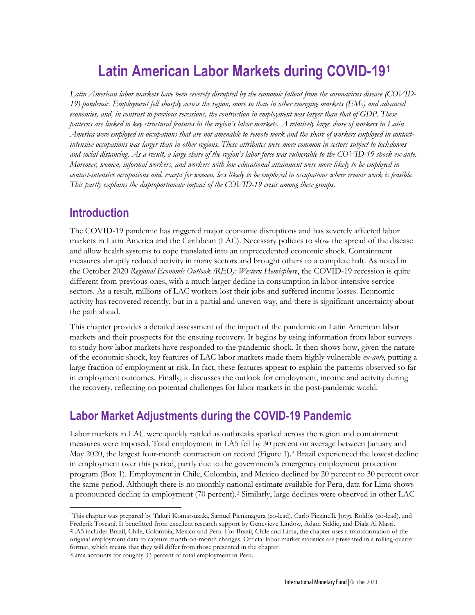# **Latin American Labor Markets during COVID-19[1](#page-0-0)**

*Latin American labor markets have been severely disrupted by the economic fallout from the coronavirus disease (COVID-19) pandemic. Employment fell sharply across the region, more so than in other emerging markets (EMs) and advanced economies, and, in contrast to previous recessions, the contraction in employment was larger than that of GDP. These patterns are linked to key structural features in the region's labor markets. A relatively large share of workers in Latin America were employed in occupations that are not amenable to remote work and the share of workers employed in contactintensive occupations was larger than in other regions. These attributes were more common in sectors subject to lockdowns and social distancing. As a result, a large share of the region's labor force was vulnerable to the COVID-19 shock ex-ante. Moreover, women, informal workers, and workers with low educational attainment were more likely to be employed in contact-intensive occupations and, except for women, less likely to be employed in occupations where remote work is feasible. This partly explains the disproportionate impact of the COVID-19 crisis among these groups.*

## **Introduction**

The COVID-19 pandemic has triggered major economic disruptions and has severely affected labor markets in Latin America and the Caribbean (LAC). Necessary policies to slow the spread of the disease and allow health systems to cope translated into an unprecedented economic shock. Containment measures abruptly reduced activity in many sectors and brought others to a complete halt. As noted in the October 2020 *Regional Economic Outlook (REO): Western Hemisphere*, the COVID-19 recession is quite different from previous ones, with a much larger decline in consumption in labor-intensive service sectors. As a result, millions of LAC workers lost their jobs and suffered income losses. Economic activity has recovered recently, but in a partial and uneven way, and there is significant uncertainty about the path ahead.

This chapter provides a detailed assessment of the impact of the pandemic on Latin American labor markets and their prospects for the ensuing recovery. It begins by using information from labor surveys to study how labor markets have responded to the pandemic shock. It then shows how, given the nature of the economic shock, key features of LAC labor markets made them highly vulnerable *ex-ante*, putting a large fraction of employment at risk. In fact, these features appear to explain the patterns observed so far in employment outcomes. Finally, it discusses the outlook for employment, income and activity during the recovery, reflecting on potential challenges for labor markets in the post-pandemic world.

# **Labor Market Adjustments during the COVID-19 Pandemic**

Labor markets in LAC were quickly rattled as outbreaks sparked across the region and containment measures were imposed. Total employment in LA5 fell by 30 percent on average between January and May 2020, the largest four-month contraction on record (Figure 1).[2](#page-0-1) Brazil experienced the lowest decline in employment over this period, partly due to the government's emergency employment protection program (Box 1). Employment in Chile, Colombia, and Mexico declined by 20 percent to 30 percent over the same period. Although there is no monthly national estimate available for Peru, data for Lima shows a pronounced decline in employment (70 percent).[3](#page-0-2) Similarly, large declines were observed in other LAC

<span id="page-0-1"></span><span id="page-0-0"></span><sup>1</sup>This chapter was prepared by Takuji Komatsuzaki, Samuel Pienknagura (co-lead), Carlo Pizzinelli, Jorge Roldós (co-lead), and Frederik Toscani. It benefitted from excellent research support by Genevieve Lindow, Adam Siddiq, and Diala Al Masri. 2LA5 includes Brazil, Chile, Colombia, Mexico and Peru. For Brazil, Chile and Lima, the chapter uses a transformation of the original employment data to capture month-on-month changes. Official labor market statistics are presented in a rolling-quarter format, which means that they will differ from those presented in the chapter.

<span id="page-0-2"></span><sup>3</sup>Lima accounts for roughly 33 percent of total employment in Peru.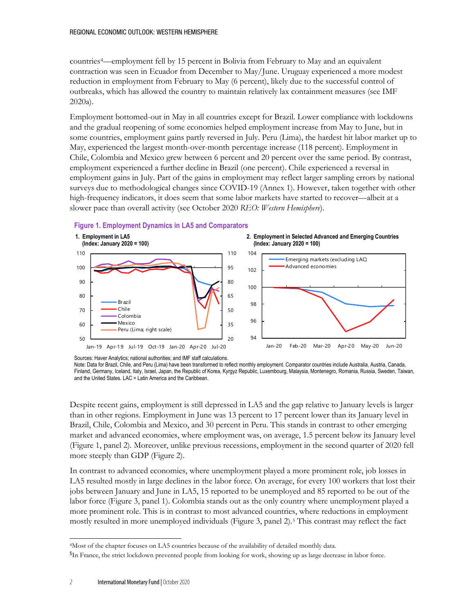countries[4—](#page-1-0)employment fell by 15 percent in Bolivia from February to May and an equivalent contraction was seen in Ecuador from December to May/June. Uruguay experienced a more modest reduction in employment from February to May (6 percent), likely due to the successful control of outbreaks, which has allowed the country to maintain relatively lax containment measures (see IMF 2020a).

Employment bottomed-out in May in all countries except for Brazil. Lower compliance with lockdowns and the gradual reopening of some economies helped employment increase from May to June, but in some countries, employment gains partly reversed in July. Peru (Lima), the hardest hit labor market up to May, experienced the largest month-over-month percentage increase (118 percent). Employment in Chile, Colombia and Mexico grew between 6 percent and 20 percent over the same period. By contrast, employment experienced a further decline in Brazil (one percent). Chile experienced a reversal in employment gains in July. Part of the gains in employment may reflect larger sampling errors by national surveys due to methodological changes since COVID-19 (Annex 1). However, taken together with other high-frequency indicators, it does seem that some labor markets have started to recover—albeit at a slower pace than overall activity (see October 2020 *REO: Western Hemisphere*).

### **Figure 1. Employment Dynamics in LA5 and Comparators**



Sources: Haver Analytics; national authorities; and IMF staff calculations.

Note: Data for Brazil, Chile, and Peru (Lima) have been transformed to reflect monthly employment. Comparator countries include Australia, Austria, Canada, Finland, Germany, Iceland, Italy, Israel, Japan, the Republic of Korea, Kyrgyz Republic, Luxembourg, Malaysia, Montenegro, Romania, Russia, Sweden, Taiwan, and the United States. LAC = Latin America and the Caribbean.

Despite recent gains, employment is still depressed in LA5 and the gap relative to January levels is larger than in other regions. Employment in June was 13 percent to 17 percent lower than its January level in Brazil, Chile, Colombia and Mexico, and 30 percent in Peru. This stands in contrast to other emerging market and advanced economies, where employment was, on average, 1.5 percent below its January level (Figure 1, panel 2). Moreover, unlike previous recessions, employment in the second quarter of 2020 fell more steeply than GDP (Figure 2).

In contrast to advanced economies, where unemployment played a more prominent role, job losses in LA5 resulted mostly in large declines in the labor force. On average, for every 100 workers that lost their jobs between January and June in LA5, 15 reported to be unemployed and 85 reported to be out of the labor force (Figure 3, panel 1). Colombia stands out as the only country where unemployment played a more prominent role. This is in contrast to most advanced countries, where reductions in employment mostly resulted in more unemployed individuals (Figure 3, panel 2).[5](#page-1-1) This contrast may reflect the fact

<span id="page-1-0"></span><sup>4</sup>Most of the chapter focuses on LA5 countries because of the availability of detailed monthly data.

<span id="page-1-1"></span><sup>&</sup>lt;sup>5</sup>In France, the strict lockdown prevented people from looking for work, showing up as large decrease in labor force.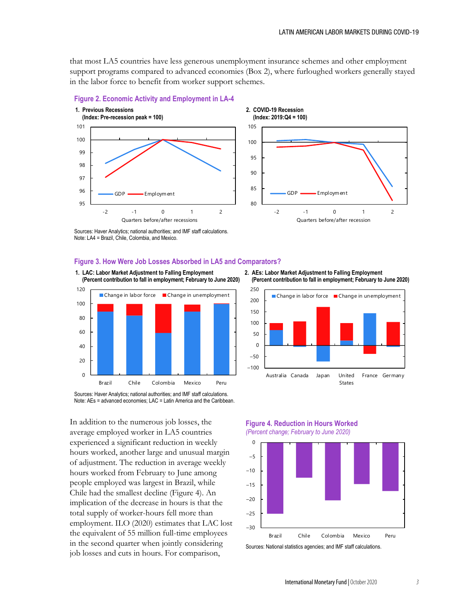that most LA5 countries have less generous unemployment insurance schemes and other employment support programs compared to advanced economies (Box 2), where furloughed workers generally stayed in the labor force to benefit from worker support schemes.





Sources: Haver Analytics; national authorities; and IMF staff calculations. Note: LA4 = Brazil, Chile, Colombia, and Mexico.

#### **Figure 3. How Were Job Losses Absorbed in LA5 and Comparators?**



Sources: Haver Analytics; national authorities; and IMF staff calculations. Note: AEs = advanced economies; LAC = Latin America and the Caribbean.

In addition to the numerous job losses, the average employed worker in LA5 countries experienced a significant reduction in weekly hours worked, another large and unusual margin of adjustment. The reduction in average weekly hours worked from February to June among people employed was largest in Brazil, while Chile had the smallest decline (Figure 4). An implication of the decrease in hours is that the total supply of worker-hours fell more than employment. ILO (2020) estimates that LAC lost the equivalent of 55 million full-time employees in the second quarter when jointly considering job losses and cuts in hours. For comparison,

**2. AEs: Labor Market Adjustment to Falling Employment (Percent contribution to fall in employment; February to June 2020)**



**Figure 4. Reduction in Hours Worked**





Sources: National statistics agencies; and IMF staff calculations.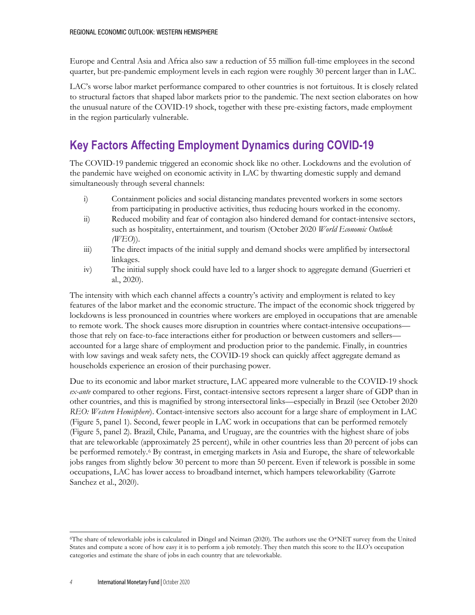Europe and Central Asia and Africa also saw a reduction of 55 million full-time employees in the second quarter, but pre-pandemic employment levels in each region were roughly 30 percent larger than in LAC.

LAC's worse labor market performance compared to other countries is not fortuitous. It is closely related to structural factors that shaped labor markets prior to the pandemic. The next section elaborates on how the unusual nature of the COVID-19 shock, together with these pre-existing factors, made employment in the region particularly vulnerable.

# **Key Factors Affecting Employment Dynamics during COVID-19**

The COVID-19 pandemic triggered an economic shock like no other. Lockdowns and the evolution of the pandemic have weighed on economic activity in LAC by thwarting domestic supply and demand simultaneously through several channels:

- i) Containment policies and social distancing mandates prevented workers in some sectors from participating in productive activities, thus reducing hours worked in the economy.
- ii) Reduced mobility and fear of contagion also hindered demand for contact-intensive sectors, such as hospitality, entertainment, and tourism (October 2020 *World Economic Outlook (WEO*)).
- iii) The direct impacts of the initial supply and demand shocks were amplified by intersectoral linkages.
- iv) The initial supply shock could have led to a larger shock to aggregate demand (Guerrieri et al., 2020).

The intensity with which each channel affects a country's activity and employment is related to key features of the labor market and the economic structure. The impact of the economic shock triggered by lockdowns is less pronounced in countries where workers are employed in occupations that are amenable to remote work. The shock causes more disruption in countries where contact-intensive occupations those that rely on face-to-face interactions either for production or between customers and sellers accounted for a large share of employment and production prior to the pandemic. Finally, in countries with low savings and weak safety nets, the COVID-19 shock can quickly affect aggregate demand as households experience an erosion of their purchasing power.

Due to its economic and labor market structure, LAC appeared more vulnerable to the COVID-19 shock *ex-ante* compared to other regions. First, contact-intensive sectors represent a larger share of GDP than in other countries, and this is magnified by strong intersectoral links—especially in Brazil (see October 2020 *REO: Western Hemisphere*). Contact-intensive sectors also account for a large share of employment in LAC (Figure 5, panel 1). Second, fewer people in LAC work in occupations that can be performed remotely (Figure 5, panel 2). Brazil, Chile, Panama, and Uruguay, are the countries with the highest share of jobs that are teleworkable (approximately 25 percent), while in other countries less than 20 percent of jobs can be performed remotely.[6](#page-3-0) By contrast, in emerging markets in Asia and Europe, the share of teleworkable jobs ranges from slightly below 30 percent to more than 50 percent. Even if telework is possible in some occupations, LAC has lower access to broadband internet, which hampers teleworkability (Garrote Sanchez et al., 2020).

<span id="page-3-0"></span><sup>&</sup>lt;sup>6</sup>The share of teleworkable jobs is calculated in Dingel and Neiman (2020). The authors use the O\*NET survey from the United States and compute a score of how easy it is to perform a job remotely. They then match this score to the ILO's occupation categories and estimate the share of jobs in each country that are teleworkable.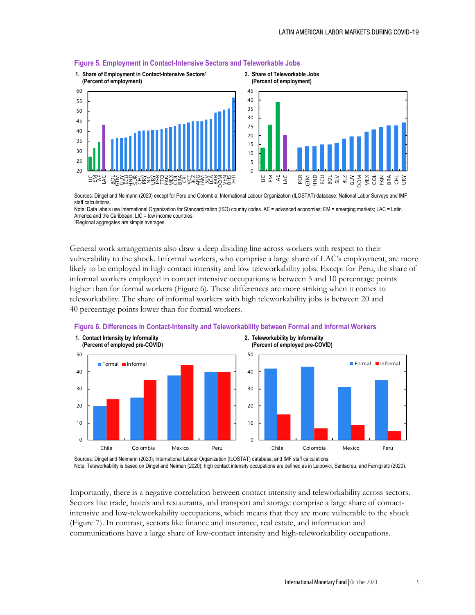

#### **Figure 5. Employment in Contact-Intensive Sectors and Teleworkable Jobs**

Sources: Dingel and Neimann (2020) except for Peru and Colombia; International Labour Organization (ILOSTAT) database; National Labor Surveys and IMF staff calculations.

Note: Data labels use International Organization for Standardization (ISO) country codes. AE = advanced economies; EM = emerging markets; LAC = Latin America and the Caribbean: LIC = low income countries. 1Regional aggregates are simple averages.

General work arrangements also draw a deep dividing line across workers with respect to their vulnerability to the shock. Informal workers, who comprise a large share of LAC's employment, are more likely to be employed in high contact intensity and low teleworkability jobs. Except for Peru, the share of informal workers employed in contact intensive occupations is between 5 and 10 percentage points higher than for formal workers (Figure 6). These differences are more striking when it comes to teleworkability. The share of informal workers with high teleworkability jobs is between 20 and 40 percentage points lower than for formal workers.



#### **Figure 6. Differences in Contact-Intensity and Teleworkability between Formal and Informal Workers**

Sources: Dingel and Neimann (2020); International Labour Organization (ILOSTAT) database; and IMF staff calculations. Note: Teleworkability is based on Dingel and Neiman (2020); high contact intensity occupations are defined as in Leibovici, Santacreu, and Famiglietti (2020).

Importantly, there is a negative correlation between contact intensity and teleworkability across sectors. Sectors like trade, hotels and restaurants, and transport and storage comprise a large share of contactintensive and low-teleworkability occupations, which means that they are more vulnerable to the shock (Figure 7). In contrast, sectors like finance and insurance, real estate, and information and communications have a large share of low-contact intensity and high-teleworkability occupations.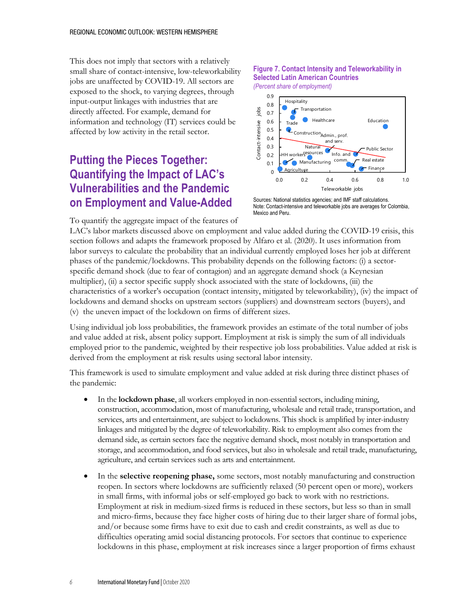This does not imply that sectors with a relatively small share of contact-intensive, low-teleworkability jobs are unaffected by COVID-19. All sectors are exposed to the shock, to varying degrees, through input-output linkages with industries that are directly affected. For example, demand for information and technology (IT) services could be affected by low activity in the retail sector.

# **Putting the Pieces Together: Quantifying the Impact of LAC's Vulnerabilities and the Pandemic on Employment and Value-Added**

#### **Figure 7. Contact Intensity and Teleworkability in Selected Latin American Countries** *(Percent share of employment)*



Sources: National statistics agencies; and IMF staff calculations. Note: Contact-intensive and teleworkable jobs are averages for Colombia, Mexico and Peru.

To quantify the aggregate impact of the features of

LAC's labor markets discussed above on employment and value added during the COVID-19 crisis, this section follows and adapts the framework proposed by Alfaro et al. (2020). It uses information from labor surveys to calculate the probability that an individual currently employed loses her job at different phases of the pandemic/lockdowns. This probability depends on the following factors: (i) a sectorspecific demand shock (due to fear of contagion) and an aggregate demand shock (a Keynesian multiplier), (ii) a sector specific supply shock associated with the state of lockdowns, (iii) the characteristics of a worker's occupation (contact intensity, mitigated by teleworkability), (iv) the impact of lockdowns and demand shocks on upstream sectors (suppliers) and downstream sectors (buyers), and (v) the uneven impact of the lockdown on firms of different sizes.

Using individual job loss probabilities, the framework provides an estimate of the total number of jobs and value added at risk, absent policy support. Employment at risk is simply the sum of all individuals employed prior to the pandemic, weighted by their respective job loss probabilities. Value added at risk is derived from the employment at risk results using sectoral labor intensity.

This framework is used to simulate employment and value added at risk during three distinct phases of the pandemic:

- In the **lockdown phase**, all workers employed in non-essential sectors, including mining, construction, accommodation, most of manufacturing, wholesale and retail trade, transportation, and services, arts and entertainment, are subject to lockdowns. This shock is amplified by inter-industry linkages and mitigated by the degree of teleworkability. Risk to employment also comes from the demand side, as certain sectors face the negative demand shock, most notably in transportation and storage, and accommodation, and food services, but also in wholesale and retail trade, manufacturing, agriculture, and certain services such as arts and entertainment.
- In the **selective reopening phase,** some sectors, most notably manufacturing and construction reopen. In sectors where lockdowns are sufficiently relaxed (50 percent open or more), workers in small firms, with informal jobs or self-employed go back to work with no restrictions. Employment at risk in medium-sized firms is reduced in these sectors, but less so than in small and micro-firms, because they face higher costs of hiring due to their larger share of formal jobs, and/or because some firms have to exit due to cash and credit constraints, as well as due to difficulties operating amid social distancing protocols. For sectors that continue to experience lockdowns in this phase, employment at risk increases since a larger proportion of firms exhaust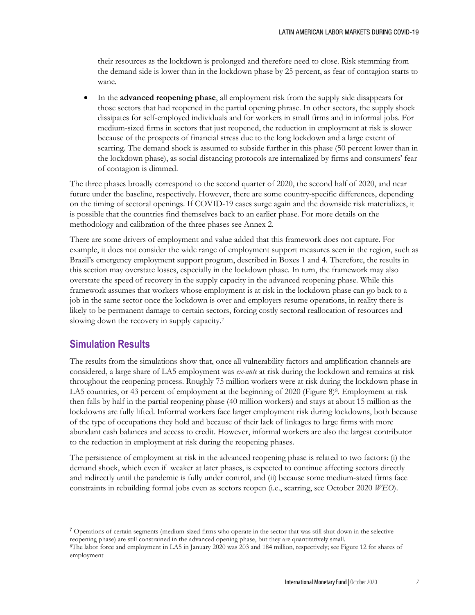their resources as the lockdown is prolonged and therefore need to close. Risk stemming from the demand side is lower than in the lockdown phase by 25 percent, as fear of contagion starts to wane.

• In the **advanced reopening phase**, all employment risk from the supply side disappears for those sectors that had reopened in the partial opening phrase. In other sectors, the supply shock dissipates for self-employed individuals and for workers in small firms and in informal jobs. For medium-sized firms in sectors that just reopened, the reduction in employment at risk is slower because of the prospects of financial stress due to the long lockdown and a large extent of scarring. The demand shock is assumed to subside further in this phase (50 percent lower than in the lockdown phase), as social distancing protocols are internalized by firms and consumers' fear of contagion is dimmed.

The three phases broadly correspond to the second quarter of 2020, the second half of 2020, and near future under the baseline, respectively. However, there are some country-specific differences, depending on the timing of sectoral openings. If COVID-19 cases surge again and the downside risk materializes, it is possible that the countries find themselves back to an earlier phase. For more details on the methodology and calibration of the three phases see Annex 2.

There are some drivers of employment and value added that this framework does not capture. For example, it does not consider the wide range of employment support measures seen in the region, such as Brazil's emergency employment support program, described in Boxes 1 and 4. Therefore, the results in this section may overstate losses, especially in the lockdown phase. In turn, the framework may also overstate the speed of recovery in the supply capacity in the advanced reopening phase. While this framework assumes that workers whose employment is at risk in the lockdown phase can go back to a job in the same sector once the lockdown is over and employers resume operations, in reality there is likely to be permanent damage to certain sectors, forcing costly sectoral reallocation of resources and slowing down the recovery in supply capacity.[7](#page-6-0)

## **Simulation Results**

The results from the simulations show that, once all vulnerability factors and amplification channels are considered, a large share of LA5 employment was *ex-ante* at risk during the lockdown and remains at risk throughout the reopening process. Roughly 75 million workers were at risk during the lockdown phase in LA5 countries, or 43 percent of employment at the beginning of 2020 (Figure 8)<sup>8</sup>. Employment at risk then falls by half in the partial reopening phase (40 million workers) and stays at about 15 million as the lockdowns are fully lifted. Informal workers face larger employment risk during lockdowns, both because of the type of occupations they hold and because of their lack of linkages to large firms with more abundant cash balances and access to credit. However, informal workers are also the largest contributor to the reduction in employment at risk during the reopening phases.

The persistence of employment at risk in the advanced reopening phase is related to two factors: (i) the demand shock, which even if weaker at later phases, is expected to continue affecting sectors directly and indirectly until the pandemic is fully under control, and (ii) because some medium-sized firms face constraints in rebuilding formal jobs even as sectors reopen (i.e., scarring, see October 2020 *WEO*).

<span id="page-6-0"></span><sup>&</sup>lt;sup>7</sup> Operations of certain segments (medium-sized firms who operate in the sector that was still shut down in the selective reopening phase) are still constrained in the advanced opening phase, but they are quantitatively small.

<span id="page-6-1"></span><sup>8</sup>The labor force and employment in LA5 in January 2020 was 203 and 184 million, respectively; see Figure 12 for shares of employment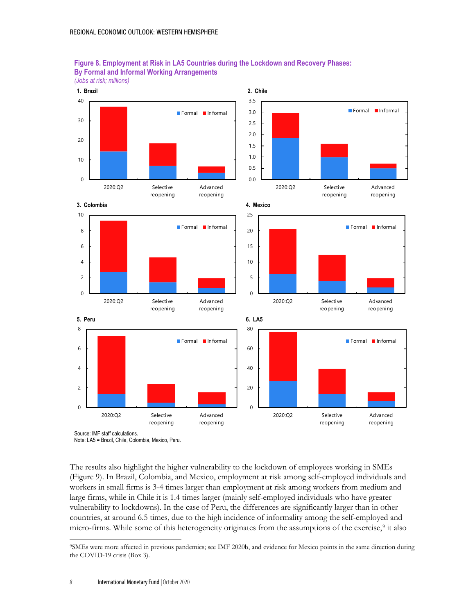



Note: LA5 = Brazil, Chile, Colombia, Mexico, Peru.

The results also highlight the higher vulnerability to the lockdown of employees working in SMEs (Figure 9). In Brazil, Colombia, and Mexico, employment at risk among self-employed individuals and workers in small firms is 3-4 times larger than employment at risk among workers from medium and large firms, while in Chile it is 1.4 times larger (mainly self-employed individuals who have greater vulnerability to lockdowns). In the case of Peru, the differences are significantly larger than in other countries, at around 6.5 times, due to the high incidence of informality among the self-employed and micro-firms. While some of this heterogeneity originates from the assumptions of the exercise,<sup>[9](#page-7-0)</sup> it also

<span id="page-7-0"></span><sup>9</sup>SMEs were more affected in previous pandemics; see IMF 2020b, and evidence for Mexico points in the same direction during the COVID-19 crisis (Box 3).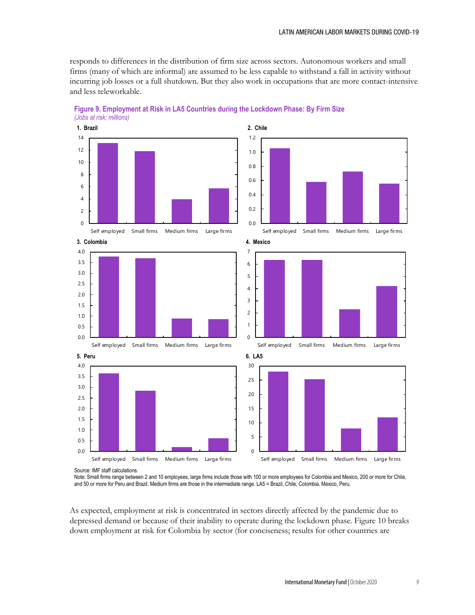responds to differences in the distribution of firm size across sectors. Autonomous workers and small firms (many of which are informal) are assumed to be less capable to withstand a fall in activity without incurring job losses or a full shutdown. But they also work in occupations that are more contact-intensive and less teleworkable.



**Figure 9. Employment at Risk in LA5 Countries during the Lockdown Phase: By Firm Size** *(Jobs at risk; millions)*

Source: IMF staff calculations.

Note: Small firms range between 2 and 10 employees, large firms include those with 100 or more employees for Colombia and Mexico, 200 or more for Chile, and 50 or more for Peru and Brazil. Medium firms are those in the intermediate range. LA5 = Brazil, Chile, Colombia, Mexico, Peru.

As expected, employment at risk is concentrated in sectors directly affected by the pandemic due to depressed demand or because of their inability to operate during the lockdown phase*.* Figure 10 breaks down employment at risk for Colombia by sector (for conciseness; results for other countries are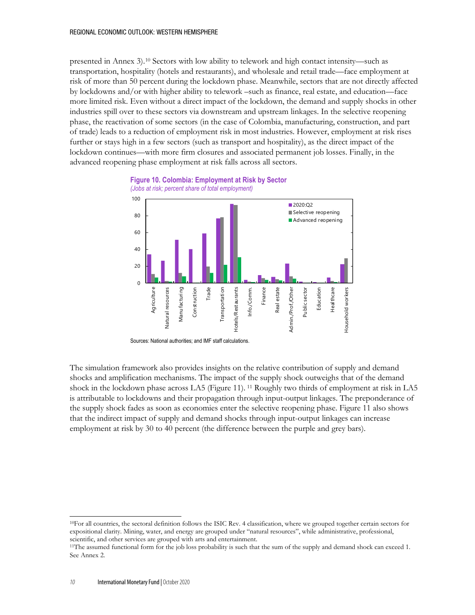presented in Annex 3).[10](#page-9-0) Sectors with low ability to telework and high contact intensity—such as transportation, hospitality (hotels and restaurants), and wholesale and retail trade—face employment at risk of more than 50 percent during the lockdown phase. Meanwhile, sectors that are not directly affected by lockdowns and/or with higher ability to telework –such as finance, real estate, and education—face more limited risk. Even without a direct impact of the lockdown, the demand and supply shocks in other industries spill over to these sectors via downstream and upstream linkages. In the selective reopening phase, the reactivation of some sectors (in the case of Colombia, manufacturing, construction, and part of trade) leads to a reduction of employment risk in most industries. However, employment at risk rises further or stays high in a few sectors (such as transport and hospitality), as the direct impact of the lockdown continues—with more firm closures and associated permanent job losses. Finally, in the advanced reopening phase employment at risk falls across all sectors.



Sources: National authorities; and IMF staff calculations.

The simulation framework also provides insights on the relative contribution of supply and demand shocks and amplification mechanisms. The impact of the supply shock outweighs that of the demand shock in the lockdown phase across LA5 (Figure 11). [11](#page-9-1) Roughly two thirds of employment at risk in LA5 is attributable to lockdowns and their propagation through input-output linkages. The preponderance of the supply shock fades as soon as economies enter the selective reopening phase. Figure 11 also shows that the indirect impact of supply and demand shocks through input-output linkages can increase employment at risk by 30 to 40 percent (the difference between the purple and grey bars).

<span id="page-9-0"></span><sup>10</sup>For all countries, the sectoral definition follows the ISIC Rev. 4 classification, where we grouped together certain sectors for expositional clarity. Mining, water, and energy are grouped under "natural resources", while administrative, professional, scientific, and other services are grouped with arts and entertainment.

<span id="page-9-1"></span><sup>&</sup>lt;sup>11</sup>The assumed functional form for the job loss probability is such that the sum of the supply and demand shock can exceed 1. See Annex 2.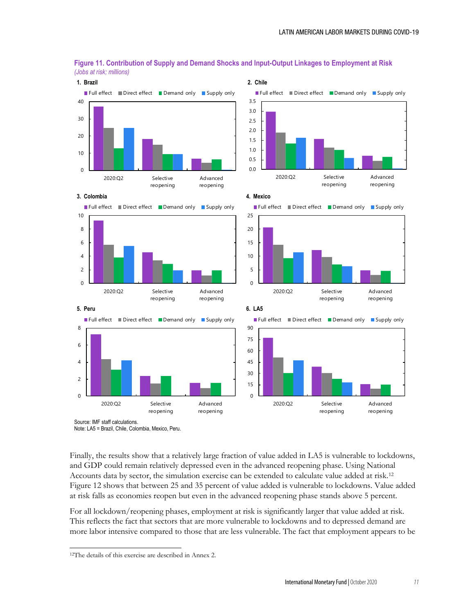

**Figure 11. Contribution of Supply and Demand Shocks and Input-Output Linkages to Employment at Risk** *(Jobs at risk; millions)*

Source: IMF staff calculations. Note: LA5 = Brazil, Chile, Colombia, Mexico, Peru.

Finally, the results show that a relatively large fraction of value added in LA5 is vulnerable to lockdowns, and GDP could remain relatively depressed even in the advanced reopening phase. Using National Accounts data by sector, the simulation exercise can be extended to calculate value added at risk.[12](#page-10-0) Figure 12 shows that between 25 and 35 percent of value added is vulnerable to lockdowns. Value added at risk falls as economies reopen but even in the advanced reopening phase stands above 5 percent.

For all lockdown/reopening phases, employment at risk is significantly larger that value added at risk. This reflects the fact that sectors that are more vulnerable to lockdowns and to depressed demand are more labor intensive compared to those that are less vulnerable. The fact that employment appears to be

<span id="page-10-0"></span><sup>12</sup>The details of this exercise are described in Annex 2.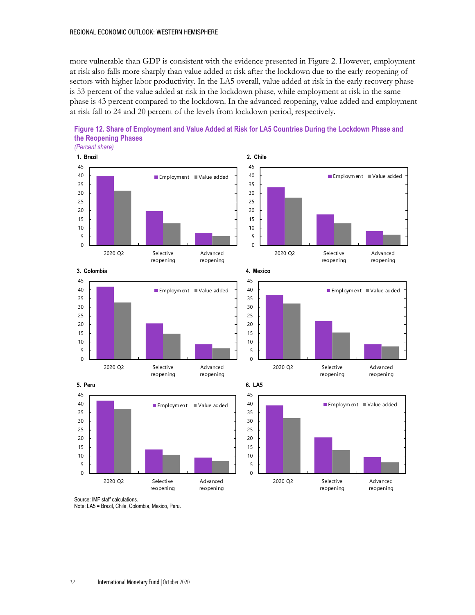more vulnerable than GDP is consistent with the evidence presented in Figure 2. However, employment at risk also falls more sharply than value added at risk after the lockdown due to the early reopening of sectors with higher labor productivity. In the LA5 overall, value added at risk in the early recovery phase is 53 percent of the value added at risk in the lockdown phase, while employment at risk in the same phase is 43 percent compared to the lockdown. In the advanced reopening, value added and employment at risk fall to 24 and 20 percent of the levels from lockdown period, respectively.





*(Percent share)*





Source: IMF staff calculations. Note: LA5 = Brazil, Chile, Colombia, Mexico, Peru.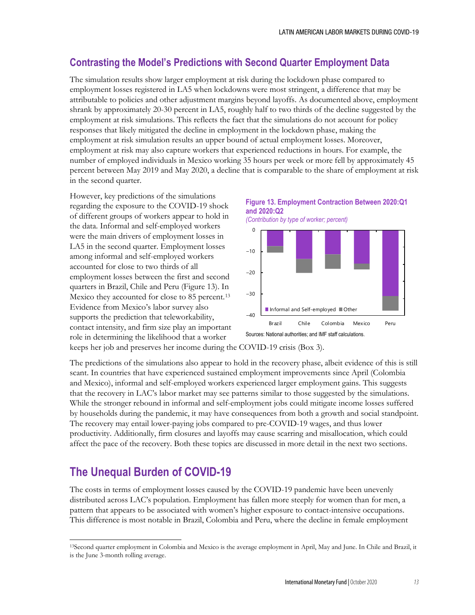## **Contrasting the Model's Predictions with Second Quarter Employment Data**

The simulation results show larger employment at risk during the lockdown phase compared to employment losses registered in LA5 when lockdowns were most stringent, a difference that may be attributable to policies and other adjustment margins beyond layoffs. As documented above, employment shrank by approximately 20-30 percent in LA5, roughly half to two thirds of the decline suggested by the employment at risk simulations. This reflects the fact that the simulations do not account for policy responses that likely mitigated the decline in employment in the lockdown phase, making the employment at risk simulation results an upper bound of actual employment losses. Moreover, employment at risk may also capture workers that experienced reductions in hours. For example, the number of employed individuals in Mexico working 35 hours per week or more fell by approximately 45 percent between May 2019 and May 2020, a decline that is comparable to the share of employment at risk in the second quarter.

However, key predictions of the simulations regarding the exposure to the COVID-19 shock of different groups of workers appear to hold in the data. Informal and self-employed workers were the main drivers of employment losses in LA5 in the second quarter. Employment losses among informal and self-employed workers accounted for close to two thirds of all employment losses between the first and second quarters in Brazil, Chile and Peru (Figure 13). In Mexico they accounted for close to 85 percent.<sup>[13](#page-12-0)</sup> Evidence from Mexico's labor survey also supports the prediction that teleworkability, contact intensity, and firm size play an important role in determining the likelihood that a worker



*(Contribution by type of worker; percent)*



keeps her job and preserves her income during the COVID-19 crisis (Box 3).

The predictions of the simulations also appear to hold in the recovery phase, albeit evidence of this is still scant. In countries that have experienced sustained employment improvements since April (Colombia and Mexico), informal and self-employed workers experienced larger employment gains. This suggests that the recovery in LAC's labor market may see patterns similar to those suggested by the simulations. While the stronger rebound in informal and self-employment jobs could mitigate income losses suffered by households during the pandemic, it may have consequences from both a growth and social standpoint. The recovery may entail lower-paying jobs compared to pre-COVID-19 wages, and thus lower productivity. Additionally, firm closures and layoffs may cause scarring and misallocation, which could affect the pace of the recovery. Both these topics are discussed in more detail in the next two sections.

## **The Unequal Burden of COVID-19**

The costs in terms of employment losses caused by the COVID-19 pandemic have been unevenly distributed across LAC's population. Employment has fallen more steeply for women than for men, a pattern that appears to be associated with women's higher exposure to contact-intensive occupations. This difference is most notable in Brazil, Colombia and Peru, where the decline in female employment

<span id="page-12-0"></span><sup>13</sup>Second quarter employment in Colombia and Mexico is the average employment in April, May and June. In Chile and Brazil, it is the June 3-month rolling average.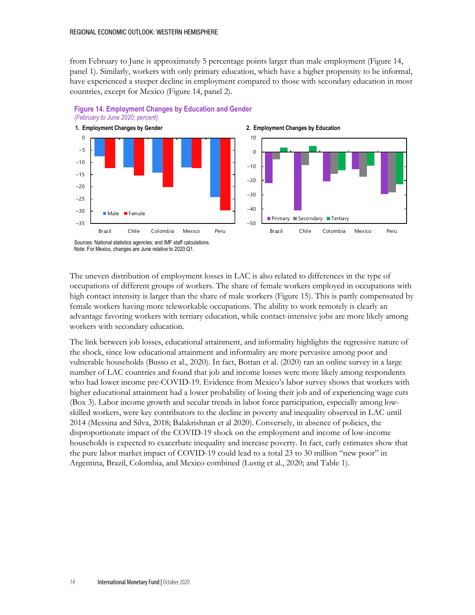from February to June is approximately 5 percentage points larger than male employment (Figure 14, panel 1). Similarly, workers with only primary education, which have a higher propensity to be informal, have experienced a steeper decline in employment compared to those with secondary education in most countries, except for Mexico (Figure 14, panel 2).



### **Figure 14. Employment Changes by Education and Gender** *(February to June 2020; percent)*

Note: For Mexico, changes are June relative to 2020:Q1.

The uneven distribution of employment losses in LAC is also related to differences in the type of occupations of different groups of workers. The share of female workers employed in occupations with high contact intensity is larger than the share of male workers (Figure 15). This is partly compensated by female workers having more teleworkable occupations. The ability to work remotely is clearly an advantage favoring workers with tertiary education, while contact-intensive jobs are more likely among workers with secondary education.

The link between job losses, educational attainment, and informality highlights the regressive nature of the shock, since low educational attainment and informality are more pervasive among poor and vulnerable households (Busso et al., 2020). In fact, Bottan et al. (2020) ran an online survey in a large number of LAC countries and found that job and income losses were more likely among respondents who had lower income pre-COVID-19. Evidence from Mexico's labor survey shows that workers with higher educational attainment had a lower probability of losing their job and of experiencing wage cuts (Box 3). Labor income growth and secular trends in labor force participation, especially among lowskilled workers, were key contributors to the decline in poverty and inequality observed in LAC until 2014 (Messina and Silva, 2018; Balakrishnan et al 2020). Conversely, in absence of policies, the disproportionate impact of the COVID-19 shock on the employment and income of low-income households is expected to exacerbate inequality and increase poverty. In fact, early estimates show that the pure labor market impact of COVID-19 could lead to a total 23 to 30 million "new poor" in Argentina, Brazil, Colombia, and Mexico combined (Lustig et al., 2020; and Table 1).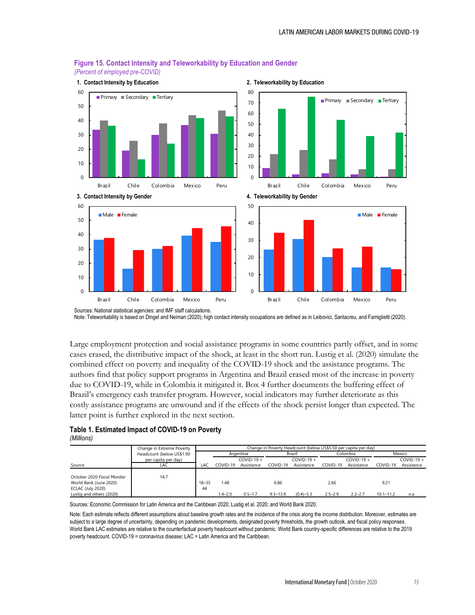

#### **Figure 15. Contact Intensity and Teleworkability by Education and Gender** *(Percent of employed pre-COVID)*

Sources: National statistical agencies; and IMF staff calculations. Note: Teleworkability is based on Dingel and Neiman (2020); high contact intensity occupations are defined as in Leibovici, Santacreu, and Famiglietti (2020).

Large employment protection and social assistance programs in some countries partly offset, and in some cases erased, the distributive impact of the shock, at least in the short run. Lustig et al. (2020) simulate the combined effect on poverty and inequality of the COVID-19 shock and the assistance programs. The authors find that policy support programs in Argentina and Brazil erased most of the increase in poverty due to COVID-19, while in Colombia it mitigated it. Box 4 further documents the buffering effect of Brazil's emergency cash transfer program. However, social indicators may further deteriorate as this costly assistance programs are unwound and if the effects of the shock persist longer than expected. The latter point is further explored in the next section.

|            |  | Table 1. Estimated Impact of COVID-19 on Poverty |  |
|------------|--|--------------------------------------------------|--|
| (Millions) |  |                                                  |  |

|                                                                                                        | Change in Extreme Poverty | Change in Poverty Headcount (below US\$5.50 per capita per day) |                     |              |                      |               |                     |              |                       |              |
|--------------------------------------------------------------------------------------------------------|---------------------------|-----------------------------------------------------------------|---------------------|--------------|----------------------|---------------|---------------------|--------------|-----------------------|--------------|
|                                                                                                        | Headcount (below US\$1.90 |                                                                 |                     | Argentina    |                      | Brazil        |                     | Colombia     |                       | Mexico       |
|                                                                                                        | per capita per day)       |                                                                 |                     | $COVID-19 +$ |                      | $COVID-19 +$  |                     | $COVID-19 +$ |                       | $COVID-19 +$ |
| Source                                                                                                 | LAC                       | LAC                                                             | COVID-19            | Assistance   | COVID-19             | Assistance    | COVID-19            | Assistance   | COVID-19              | Assistance   |
| October 2020 Fiscal Monitor<br>World Bank (June 2020)<br>ECLAC (July 2020)<br>Lustig and others (2020) | 14.7                      | $18 - 35$<br>44                                                 | 1.48<br>$1.4 - 2.0$ | $0.5 - 1.7$  | 6.86<br>$9.3 - 13.9$ | $(0.4) - 5.3$ | 2.66<br>$2.5 - 2.9$ | $2.2 - 2.7$  | 9.21<br>$10.1 - 11.2$ | n.a.         |

Sources: Economic Commission for Latin America and the Caribbean 2020; Lustig et al. 2020; and World Bank 2020.

Note: Each estimate reflects different assumptions about baseline growth rates and the incidence of the crisis along the income distribution. Moreover, estimates are subject to a large degree of uncertainty, depending on pandemic developments, designated poverty thresholds, the growth outlook, and fiscal policy responses. World Bank LAC estimates are relative to the counterfactual poverty headcount without pandemic. World Bank country-specific differences are relative to the 2019 poverty headcount. COVID-19 = coronavirus disease; LAC = Latin America and the Caribbean.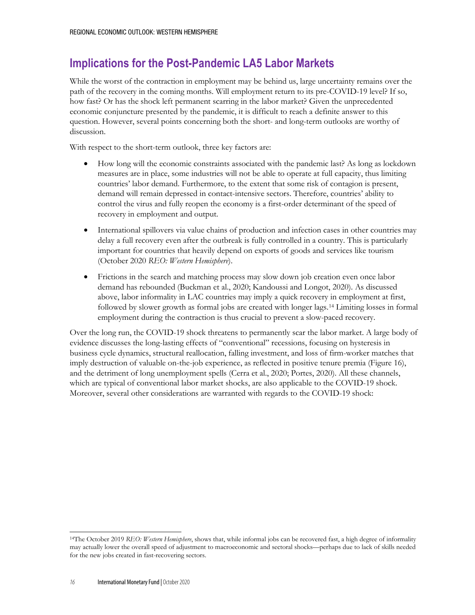# **Implications for the Post-Pandemic LA5 Labor Markets**

While the worst of the contraction in employment may be behind us, large uncertainty remains over the path of the recovery in the coming months. Will employment return to its pre-COVID-19 level? If so, how fast? Or has the shock left permanent scarring in the labor market? Given the unprecedented economic conjuncture presented by the pandemic, it is difficult to reach a definite answer to this question. However, several points concerning both the short- and long-term outlooks are worthy of discussion.

With respect to the short-term outlook, three key factors are:

- How long will the economic constraints associated with the pandemic last? As long as lockdown measures are in place, some industries will not be able to operate at full capacity, thus limiting countries' labor demand. Furthermore, to the extent that some risk of contagion is present, demand will remain depressed in contact-intensive sectors. Therefore, countries' ability to control the virus and fully reopen the economy is a first-order determinant of the speed of recovery in employment and output.
- International spillovers via value chains of production and infection cases in other countries may delay a full recovery even after the outbreak is fully controlled in a country. This is particularly important for countries that heavily depend on exports of goods and services like tourism (October 2020 *REO: Western Hemisphere*).
- Frictions in the search and matching process may slow down job creation even once labor demand has rebounded (Buckman et al., 2020; Kandoussi and Longot, 2020). As discussed above, labor informality in LAC countries may imply a quick recovery in employment at first, followed by slower growth as formal jobs are created with longer lags.[14](#page-15-0) Limiting losses in formal employment during the contraction is thus crucial to prevent a slow-paced recovery.

Over the long run, the COVID-19 shock threatens to permanently scar the labor market. A large body of evidence discusses the long-lasting effects of "conventional" recessions, focusing on hysteresis in business cycle dynamics, structural reallocation, falling investment, and loss of firm-worker matches that imply destruction of valuable on-the-job experience, as reflected in positive tenure premia (Figure 16), and the detriment of long unemployment spells (Cerra et al., 2020; Portes, 2020). All these channels, which are typical of conventional labor market shocks, are also applicable to the COVID-19 shock. Moreover, several other considerations are warranted with regards to the COVID-19 shock:

<span id="page-15-0"></span><sup>14</sup>The October 2019 *REO: Western Hemisphere*, shows that, while informal jobs can be recovered fast, a high degree of informality may actually lower the overall speed of adjustment to macroeconomic and sectoral shocks—perhaps due to lack of skills needed for the new jobs created in fast-recovering sectors.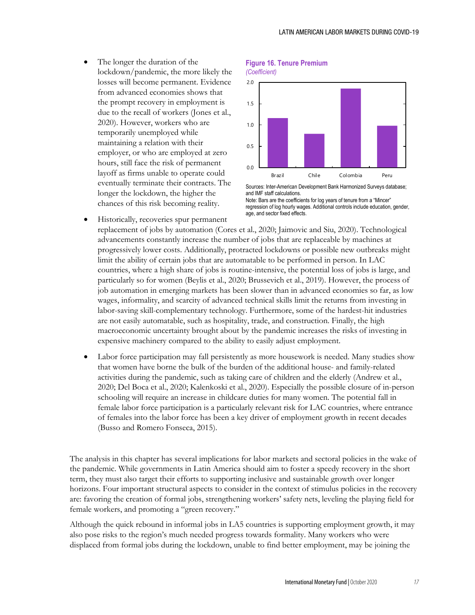• The longer the duration of the lockdown/pandemic, the more likely the losses will become permanent. Evidence from advanced economies shows that the prompt recovery in employment is due to the recall of workers (Jones et al., 2020). However, workers who are temporarily unemployed while maintaining a relation with their employer, or who are employed at zero hours, still face the risk of permanent layoff as firms unable to operate could eventually terminate their contracts. The longer the lockdown, the higher the chances of this risk becoming reality.

#### **Figure 16. Tenure Premium** *(Coefficient)*



Sources: Inter-American Development Bank Harmonized Surveys database; and IMF staff calculations. Note: Bars are the coefficients for log years of tenure from a "Mincer" regression of log hourly wages. Additional controls include education, gender, age, and sector fixed effects.

- Historically, recoveries spur permanent replacement of jobs by automation (Cores et al., 2020; Jaimovic and Siu, 2020). Technological advancements constantly increase the number of jobs that are replaceable by machines at progressively lower costs. Additionally, protracted lockdowns or possible new outbreaks might limit the ability of certain jobs that are automatable to be performed in person. In LAC countries, where a high share of jobs is routine-intensive, the potential loss of jobs is large, and particularly so for women (Beylis et al., 2020; Brussevich et al., 2019). However, the process of job automation in emerging markets has been slower than in advanced economies so far, as low wages, informality, and scarcity of advanced technical skills limit the returns from investing in labor-saving skill-complementary technology. Furthermore, some of the hardest-hit industries are not easily automatable, such as hospitality, trade, and construction. Finally, the high macroeconomic uncertainty brought about by the pandemic increases the risks of investing in expensive machinery compared to the ability to easily adjust employment.
- Labor force participation may fall persistently as more housework is needed. Many studies show that women have borne the bulk of the burden of the additional house- and family-related activities during the pandemic, such as taking care of children and the elderly (Andrew et al., 2020; Del Boca et al., 2020; Kalenkoski et al., 2020). Especially the possible closure of in-person schooling will require an increase in childcare duties for many women. The potential fall in female labor force participation is a particularly relevant risk for LAC countries, where entrance of females into the labor force has been a key driver of employment growth in recent decades (Busso and Romero Fonseca, 2015).

The analysis in this chapter has several implications for labor markets and sectoral policies in the wake of the pandemic. While governments in Latin America should aim to foster a speedy recovery in the short term, they must also target their efforts to supporting inclusive and sustainable growth over longer horizons. Four important structural aspects to consider in the context of stimulus policies in the recovery are: favoring the creation of formal jobs, strengthening workers' safety nets, leveling the playing field for female workers, and promoting a "green recovery."

Although the quick rebound in informal jobs in LA5 countries is supporting employment growth, it may also pose risks to the region's much needed progress towards formality. Many workers who were displaced from formal jobs during the lockdown, unable to find better employment, may be joining the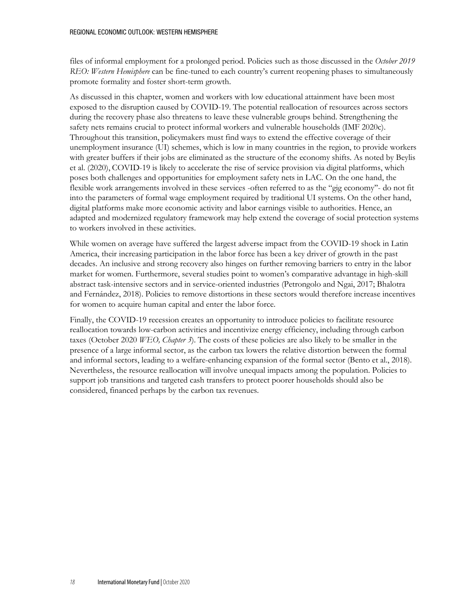files of informal employment for a prolonged period. Policies such as those discussed in the *October 2019 REO: Western Hemisphere* can be fine-tuned to each country's current reopening phases to simultaneously promote formality and foster short-term growth.

As discussed in this chapter, women and workers with low educational attainment have been most exposed to the disruption caused by COVID-19. The potential reallocation of resources across sectors during the recovery phase also threatens to leave these vulnerable groups behind. Strengthening the safety nets remains crucial to protect informal workers and vulnerable households (IMF 2020c). Throughout this transition, policymakers must find ways to extend the effective coverage of their unemployment insurance (UI) schemes, which is low in many countries in the region, to provide workers with greater buffers if their jobs are eliminated as the structure of the economy shifts. As noted by Beylis et al. (2020), COVID-19 is likely to accelerate the rise of service provision via digital platforms, which poses both challenges and opportunities for employment safety nets in LAC. On the one hand, the flexible work arrangements involved in these services -often referred to as the "gig economy"- do not fit into the parameters of formal wage employment required by traditional UI systems. On the other hand, digital platforms make more economic activity and labor earnings visible to authorities. Hence, an adapted and modernized regulatory framework may help extend the coverage of social protection systems to workers involved in these activities.

While women on average have suffered the largest adverse impact from the COVID-19 shock in Latin America, their increasing participation in the labor force has been a key driver of growth in the past decades. An inclusive and strong recovery also hinges on further removing barriers to entry in the labor market for women. Furthermore, several studies point to women's comparative advantage in high-skill abstract task-intensive sectors and in service-oriented industries (Petrongolo and Ngai, 2017; Bhalotra and Fernández, 2018). Policies to remove distortions in these sectors would therefore increase incentives for women to acquire human capital and enter the labor force.

Finally, the COVID-19 recession creates an opportunity to introduce policies to facilitate resource reallocation towards low-carbon activities and incentivize energy efficiency, including through carbon taxes (October 2020 *WEO, Chapter 3*). The costs of these policies are also likely to be smaller in the presence of a large informal sector, as the carbon tax lowers the relative distortion between the formal and informal sectors, leading to a welfare-enhancing expansion of the formal sector (Bento et al., 2018). Nevertheless, the resource reallocation will involve unequal impacts among the population. Policies to support job transitions and targeted cash transfers to protect poorer households should also be considered, financed perhaps by the carbon tax revenues.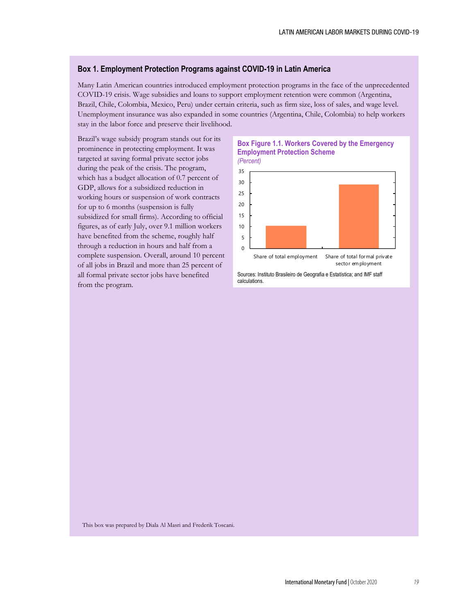### **Box 1. Employment Protection Programs against COVID-19 in Latin America**

Many Latin American countries introduced employment protection programs in the face of the unprecedented COVID-19 crisis. Wage subsidies and loans to support employment retention were common (Argentina, Brazil, Chile, Colombia, Mexico, Peru) under certain criteria, such as firm size, loss of sales, and wage level. Unemployment insurance was also expanded in some countries (Argentina, Chile, Colombia) to help workers stay in the labor force and preserve their livelihood.

Brazil's wage subsidy program stands out for its prominence in protecting employment. It was targeted at saving formal private sector jobs during the peak of the crisis. The program, which has a budget allocation of 0.7 percent of GDP, allows for a subsidized reduction in working hours or suspension of work contracts for up to 6 months (suspension is fully subsidized for small firms). According to official figures, as of early July, over 9.1 million workers have benefited from the scheme, roughly half through a reduction in hours and half from a complete suspension. Overall, around 10 percent of all jobs in Brazil and more than 25 percent of all formal private sector jobs have benefited from the program.

## **Box Figure 1.1. Workers Covered by the Emergency Employment Protection Scheme**



Sources: Instituto Brasileiro de Geografia e Estatística; and IMF staff calculations.

This box was prepared by Diala Al Masri and Frederik Toscani.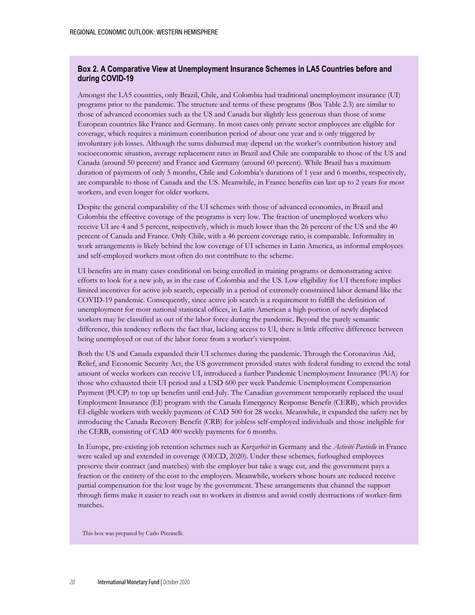## **Box 2. A Comparative View at Unemployment Insurance Schemes in LA5 Countries before and during COVID-19**

Amongst the LA5 countries, only Brazil, Chile, and Colombia had traditional unemployment insurance (UI) programs prior to the pandemic. The structure and terms of these programs (Box Table 2.3) are similar to those of advanced economies such as the US and Canada but slightly less generous than those of some European countries like France and Germany. In most cases only private sector employees are eligible for coverage, which requires a minimum contribution period of about one year and is only triggered by involuntary job losses. Although the sums disbursed may depend on the worker's contribution history and socioeconomic situation, average replacement rates in Brazil and Chile are comparable to those of the US and Canada (around 50 percent) and France and Germany (around 60 percent). While Brazil has a maximum duration of payments of only 5 months, Chile and Colombia's durations of 1 year and 6 months, respectively, are comparable to those of Canada and the US. Meanwhile, in France benefits can last up to 2 years for most workers, and even longer for older workers.

Despite the general comparability of the UI schemes with those of advanced economies, in Brazil and Colombia the effective coverage of the programs is very low. The fraction of unemployed workers who receive UI are 4 and 5 percent, respectively, which is much lower than the 26 percent of the US and the 40 percent of Canada and France. Only Chile, with a 46 percent coverage ratio, is comparable. Informality in work arrangements is likely behind the low coverage of UI schemes in Latin America, as informal employees and self-employed workers most often do not contribute to the scheme.

UI benefits are in many cases conditional on being enrolled in training programs or demonstrating active efforts to look for a new job, as in the case of Colombia and the US. Low eligibility for UI therefore implies limited incentives for active job search, especially in a period of extremely constrained labor demand like the COVID-19 pandemic. Consequently, since active job search is a requirement to fulfill the definition of unemployment for most national statistical offices, in Latin American a high portion of newly displaced workers may be classified as out of the labor force during the pandemic. Beyond the purely semantic difference, this tendency reflects the fact that, lacking access to UI, there is little effective difference between being unemployed or out of the labor force from a worker's viewpoint.

Both the US and Canada expanded their UI schemes during the pandemic. Through the Coronavirus Aid, Relief, and Economic Security Act, the US government provided states with federal funding to extend the total amount of weeks workers can receive UI, introduced a further Pandemic Unemployment Insurance (PUA) for those who exhausted their UI period and a USD 600 per week Pandemic Unemployment Compensation Payment (PUCP) to top up benefits until end-July. The Canadian government temporarily replaced the usual Employment Insurance (EI) program with the Canada Emergency Response Benefit (CERB), which provides EI-eligible workers with weekly payments of CAD 500 for 28 weeks. Meanwhile, it expanded the safety net by introducing the Canada Recovery Benefit (CRB) for jobless self-employed individuals and those ineligible for the CERB, consisting of CAD 400 weekly payments for 6 months.

In Europe, pre-existing job retention schemes such as *Kurzarbeit* in Germany and the *Activité Partielle* in France were scaled up and extended in coverage (OECD, 2020). Under these schemes, furloughed employees preserve their contract (and matches) with the employer but take a wage cut, and the government pays a fraction or the entirety of the cost to the employers. Meanwhile, workers whose hours are reduced receive partial compensation for the lost wage by the government. These arrangements that channel the support through firms make it easier to reach out to workers in distress and avoid costly destructions of worker-firm matches.

This box was prepared by Carlo Pizzinelli.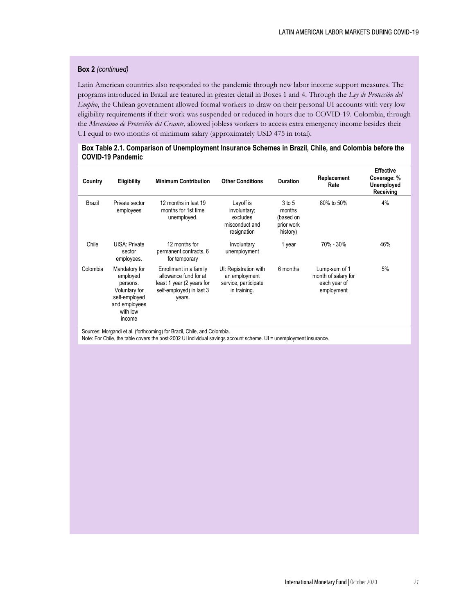### **Box 2** *(continued)*

Latin American countries also responded to the pandemic through new labor income support measures. The programs introduced in Brazil are featured in greater detail in Boxes 1 and 4. Through the *Ley de Protección del Empleo*, the Chilean government allowed formal workers to draw on their personal UI accounts with very low eligibility requirements if their work was suspended or reduced in hours due to COVID-19. Colombia, through the *Mecanismo de Protección del Cesante*, allowed jobless workers to access extra emergency income besides their UI equal to two months of minimum salary (approximately USD 475 in total).

### **Box Table 2.1. Comparison of Unemployment Insurance Schemes in Brazil, Chile, and Colombia before the COVID-19 Pandemic**

| Country  | <b>Eligibility</b>                                                                                             | <b>Minimum Contribution</b>                                                                                        | <b>Other Conditions</b>                                                        | <b>Duration</b>                                         | Replacement<br>Rate                                                | <b>Effective</b><br>Coverage: %<br><b>Unemployed</b><br>Receiving |
|----------|----------------------------------------------------------------------------------------------------------------|--------------------------------------------------------------------------------------------------------------------|--------------------------------------------------------------------------------|---------------------------------------------------------|--------------------------------------------------------------------|-------------------------------------------------------------------|
| Brazil   | Private sector<br>employees                                                                                    | 12 months in last 19<br>months for 1st time<br>unemployed.                                                         | Layoff is<br>involuntary;<br>excludes<br>misconduct and<br>resignation         | 3 to 5<br>months<br>(based on<br>prior work<br>history) | 80% to 50%                                                         | 4%                                                                |
| Chile    | UISA: Private<br>sector<br>employees.                                                                          | 12 months for<br>permanent contracts, 6<br>for temporary                                                           | Involuntary<br>unemployment                                                    | 1 year                                                  | 70% - 30%                                                          | 46%                                                               |
| Colombia | Mandatory for<br>employed<br>persons.<br>Voluntary for<br>self-employed<br>and employees<br>with low<br>income | Enrollment in a family<br>allowance fund for at<br>least 1 year (2 years for<br>self-employed) in last 3<br>years. | UI: Registration with<br>an employment<br>service, participate<br>in training. | 6 months                                                | Lump-sum of 1<br>month of salary for<br>each year of<br>employment | 5%                                                                |

Sources: Morgandi et al. (forthcoming) for Brazil, Chile, and Colombia.

Note: For Chile, the table covers the post-2002 UI individual savings account scheme. UI = unemployment insurance.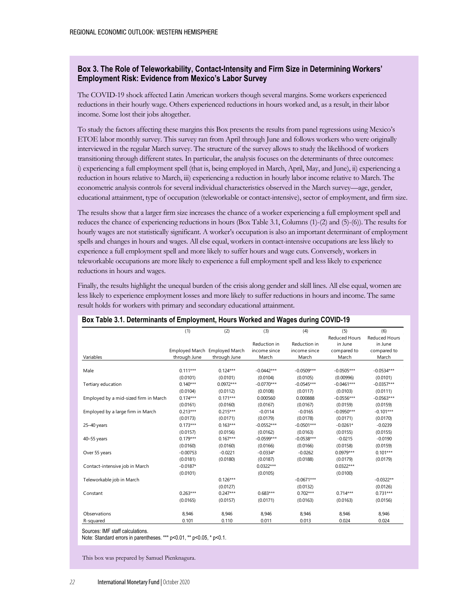## **Box 3. The Role of Teleworkability, Contact-Intensity and Firm Size in Determining Workers' Employment Risk: Evidence from Mexico's Labor Survey**

The COVID-19 shock affected Latin American workers though several margins. Some workers experienced reductions in their hourly wage. Others experienced reductions in hours worked and, as a result, in their labor income. Some lost their jobs altogether.

To study the factors affecting these margins this Box presents the results from panel regressions using Mexico's ETOE labor monthly survey. This survey ran from April through June and follows workers who were originally interviewed in the regular March survey. The structure of the survey allows to study the likelihood of workers transitioning through different states. In particular, the analysis focuses on the determinants of three outcomes: i) experiencing a full employment spell (that is, being employed in March, April, May, and June), ii) experiencing a reduction in hours relative to March, iii) experiencing a reduction in hourly labor income relative to March. The econometric analysis controls for several individual characteristics observed in the March survey—age, gender, educational attainment, type of occupation (teleworkable or contact-intensive), sector of employment, and firm size.

The results show that a larger firm size increases the chance of a worker experiencing a full employment spell and reduces the chance of experiencing reductions in hours (Box Table 3.1, Columns (1)-(2) and (5)-(6)). The results for hourly wages are not statistically significant. A worker's occupation is also an important determinant of employment spells and changes in hours and wages. All else equal, workers in contact-intensive occupations are less likely to experience a full employment spell and more likely to suffer hours and wage cuts. Conversely, workers in teleworkable occupations are more likely to experience a full employment spell and less likely to experience reductions in hours and wages.

Finally, the results highlight the unequal burden of the crisis along gender and skill lines. All else equal, women are less likely to experience employment losses and more likely to suffer reductions in hours and income. The same result holds for workers with primary and secondary educational attainment.

|                                       | (1)          | (2)                                           | (3)                                   | (4)                                   | (5)                                                     | (6)                                                     |
|---------------------------------------|--------------|-----------------------------------------------|---------------------------------------|---------------------------------------|---------------------------------------------------------|---------------------------------------------------------|
| Variables                             | through June | Employed March Employed March<br>through June | Reduction in<br>income since<br>March | Reduction in<br>income since<br>March | <b>Reduced Hours</b><br>in June<br>compared to<br>March | <b>Reduced Hours</b><br>in June<br>compared to<br>March |
|                                       |              |                                               |                                       |                                       |                                                         |                                                         |
| Male                                  | $0.111***$   | $0.124***$                                    | $-0.0442***$                          | $-0.0509***$                          | $-0.0505***$                                            | $-0.0534***$                                            |
|                                       | (0.0101)     | (0.0101)                                      | (0.0104)                              | (0.0105)                              | (0.00996)                                               | (0.0101)                                                |
| Tertiary education                    | $0.140***$   | $0.0972***$                                   | $-0.0770***$                          | $-0.0545***$                          | $-0.0461***$                                            | $-0.0357***$                                            |
|                                       | (0.0104)     | (0.0112)                                      | (0.0108)                              | (0.0117)                              | (0.0103)                                                | (0.0111)                                                |
| Employed by a mid-sized firm in March | $0.174***$   | $0.171***$                                    | 0.000560                              | 0.000888                              | $-0.0556***$                                            | $-0.0563***$                                            |
|                                       | (0.0161)     | (0.0160)                                      | (0.0167)                              | (0.0167)                              | (0.0159)                                                | (0.0159)                                                |
| Employed by a large firm in March     | $0.213***$   | $0.215***$                                    | $-0.0114$                             | $-0.0165$                             | $-0.0950***$                                            | $-0.101***$                                             |
|                                       | (0.0173)     | (0.0171)                                      | (0.0179)                              | (0.0178)                              | (0.0171)                                                | (0.0170)                                                |
| 25-40 years                           | $0.173***$   | $0.163***$                                    | $-0.0552***$                          | $-0.0501***$                          | $-0.0261*$                                              | $-0.0239$                                               |
|                                       | (0.0157)     | (0.0156)                                      | (0.0162)                              | (0.0163)                              | (0.0155)                                                | (0.0155)                                                |
| 40-55 years                           | $0.179***$   | $0.167***$                                    | $-0.0599***$                          | $-0.0538***$                          | $-0.0215$                                               | $-0.0190$                                               |
|                                       | (0.0160)     | (0.0160)                                      | (0.0166)                              | (0.0166)                              | (0.0158)                                                | (0.0159)                                                |
| Over 55 years                         | $-0.00753$   | $-0.0221$                                     | $-0.0334*$                            | $-0.0262$                             | $0.0979***$                                             | $0.101***$                                              |
|                                       | (0.0181)     | (0.0180)                                      | (0.0187)                              | (0.0188)                              | (0.0179)                                                | (0.0179)                                                |
| Contact-intensive job in March        | $-0.0187*$   |                                               | $0.0322***$                           |                                       | $0.0322***$                                             |                                                         |
|                                       | (0.0101)     |                                               | (0.0105)                              |                                       | (0.0100)                                                |                                                         |
| Teleworkable job in March             |              | $0.126***$                                    |                                       | $-0.0671***$                          |                                                         | $-0.0322**$                                             |
|                                       |              | (0.0127)                                      |                                       | (0.0132)                              |                                                         | (0.0126)                                                |
| Constant                              | $0.263***$   | $0.247***$                                    | $0.683***$                            | $0.702***$                            | $0.714***$                                              | $0.731***$                                              |
|                                       | (0.0165)     | (0.0157)                                      | (0.0171)                              | (0.0163)                              | (0.0163)                                                | (0.0156)                                                |
| Observations                          | 8,946        | 8,946                                         | 8,946                                 | 8,946                                 | 8,946                                                   | 8,946                                                   |
| R-squared                             | 0.101        | 0.110                                         | 0.011                                 | 0.013                                 | 0.024                                                   | 0.024                                                   |

#### **Box Table 3.1. Determinants of Employment, Hours Worked and Wages during COVID-19**

Sources: IMF staff calculations.

Note: Standard errors in parentheses. \*\*\* p<0.01, \*\* p<0.05, \* p<0.1.

This box was prepared by Samuel Pienknagura.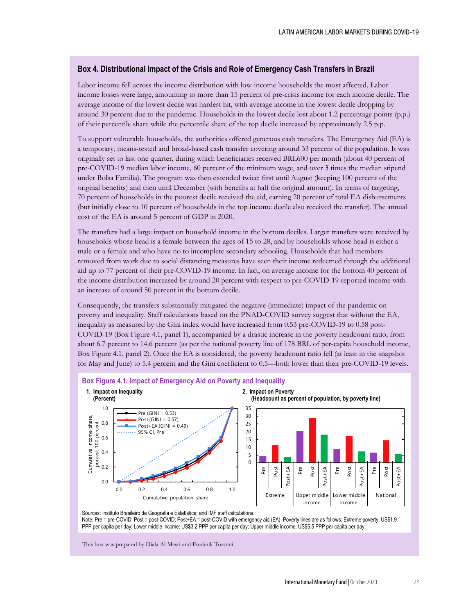### **Box 4. Distributional Impact of the Crisis and Role of Emergency Cash Transfers in Brazil**

Labor income fell across the income distribution with low-income households the most affected. Labor income losses were large, amounting to more than 15 percent of pre-crisis income for each income decile. The average income of the lowest decile was hardest hit, with average income in the lowest decile dropping by around 30 percent due to the pandemic. Households in the lowest decile lost about 1.2 percentage points (p.p.) of their percentile share while the percentile share of the top decile increased by approximately 2.5 p.p.

To support vulnerable households, the authorities offered generous cash transfers. The Emergency Aid (EA) is a temporary, means-tested and broad-based cash transfer covering around 33 percent of the population. It was originally set to last one quarter, during which beneficiaries received BRL600 per month (about 40 percent of pre-COVID-19 median labor income, 60 percent of the minimum wage, and over 3 times the median stipend under Bolsa Familia). The program was then extended twice: first until August (keeping 100 percent of the original benefits) and then until December (with benefits at half the original amount). In terms of targeting, 70 percent of households in the poorest decile received the aid, earning 20 percent of total EA disbursements (but initially close to 10 percent of households in the top income decile also received the transfer). The annual cost of the EA is around 5 percent of GDP in 2020.

The transfers had a large impact on household income in the bottom deciles. Larger transfers were received by households whose head is a female between the ages of 15 to 28, and by households whose head is either a male or a female and who have no to incomplete secondary schooling. Households that had members removed from work due to social distancing measures have seen their income redeemed through the additional aid up to 77 percent of their pre-COVID-19 income. In fact, on average income for the bottom 40 percent of the income distribution increased by around 20 percent with respect to pre-COVID-19 reported income with an increase of around 50 percent in the bottom decile.

Consequently, the transfers substantially mitigated the negative (immediate) impact of the pandemic on poverty and inequality. Staff calculations based on the PNAD-COVID survey suggest that without the EA, inequality as measured by the Gini index would have increased from 0.53 pre-COVID-19 to 0.58 post-COVID-19 (Box Figure 4.1, panel 1), accompanied by a drastic increase in the poverty headcount ratio, from about 6.7 percent to 14.6 percent (as per the national poverty line of 178 BRL of per-capita household income, Box Figure 4.1, panel 2). Once the EA is considered, the poverty headcount ratio fell (at least in the snapshot for May and June) to 5.4 percent and the Gini coefficient to 0.5—both lower than their pre-COVID-19 levels.



Note: Pre = pre-COVID; Post = post-COVID; Post+EA = post-COVID with emergency aid (EA). Poverty lines are as follows: Extreme poverty: US\$1.9 PPP per capita per day; Lower middle income: US\$3.2 PPP per capita per day; Upper middle income: US\$5.5 PPP per capita per day.

This box was prepared by Diala Al Masri and Frederik Toscani.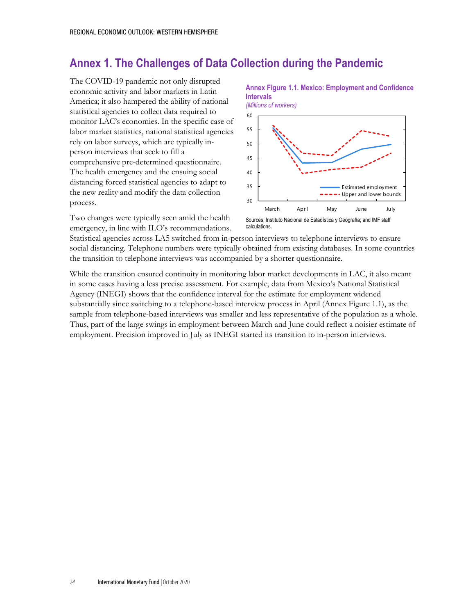# **Annex 1. The Challenges of Data Collection during the Pandemic**

The COVID-19 pandemic not only disrupted economic activity and labor markets in Latin America; it also hampered the ability of national statistical agencies to collect data required to monitor LAC's economies. In the specific case of labor market statistics, national statistical agencies rely on labor surveys, which are typically inperson interviews that seek to fill a comprehensive pre-determined questionnaire. The health emergency and the ensuing social distancing forced statistical agencies to adapt to the new reality and modify the data collection process.

Two changes were typically seen amid the health emergency, in line with ILO's recommendations.



**Annex Figure 1.1. Mexico: Employment and Confidence** 

calculations.

Statistical agencies across LA5 switched from in-person interviews to telephone interviews to ensure social distancing. Telephone numbers were typically obtained from existing databases. In some countries the transition to telephone interviews was accompanied by a shorter questionnaire.

While the transition ensured continuity in monitoring labor market developments in LAC, it also meant in some cases having a less precise assessment. For example, data from Mexico's National Statistical Agency (INEGI) shows that the confidence interval for the estimate for employment widened substantially since switching to a telephone-based interview process in April (Annex Figure 1.1), as the sample from telephone-based interviews was smaller and less representative of the population as a whole. Thus, part of the large swings in employment between March and June could reflect a noisier estimate of employment. Precision improved in July as INEGI started its transition to in-person interviews.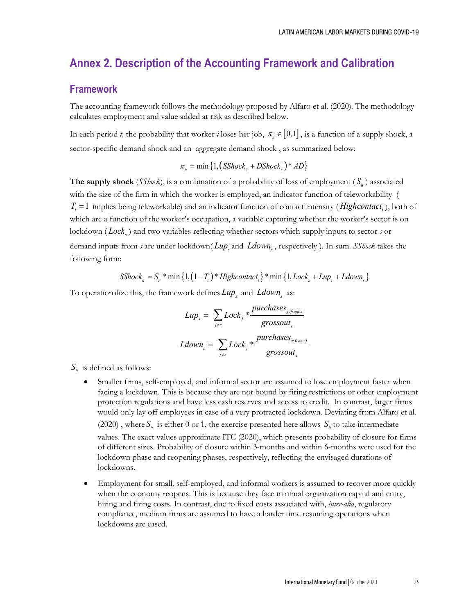## **Annex 2. Description of the Accounting Framework and Calibration**

## **Framework**

The accounting framework follows the methodology proposed by Alfaro et al. (2020). The methodology calculates employment and value added at risk as described below.

In each period *t*, the probability that worker *i* loses her job,  $\pi_{i} \in [0,1]$ , is a function of a supply shock, a sector-specific demand shock and an aggregate demand shock , as summarized below:

$$
\pi_{u} = \min\left\{1, \left(SShock_{u} + DShock_{s}\right) * AD\right\}
$$

**The supply shock** (*SShock*), is a combination of a probability of loss of employment ( $S_i$ ) associated with the size of the firm in which the worker is employed, an indicator function of teleworkability (  $T_i = 1$  implies being teleworkable) and an indicator function of contact intensity (*Highcontact<sub>i</sub>*), both of which are a function of the worker's occupation, a variable capturing whether the worker's sector is on lockdown (*Lock*) and two variables reflecting whether sectors which supply inputs to sector  $s$  or demand inputs from *s* are under lockdown( *Lup* and *Ldown*, respectively). In sum. *SShock* takes the following form:

 $SShock<sub>u</sub> = S<sub>u</sub> * min\{1, (1 - T<sub>i</sub>) * Highcontact<sub>i</sub>\} * min\{1, Lock<sub>s</sub> + Lup<sub>s</sub> + Ldown<sub>s</sub>\}$ 

To operationalize this, the framework defines *Lup* and *Ldown* as:

$$
Lup_s = \sum_{j \neq s} Lock_j * \frac{purchases_{j:fromss}}{grossout_s}
$$
  
 
$$
Ldown_s = \sum_{j \neq s} Lock_j * \frac{purchases_{s:froms}}{grossout_s}
$$

 $S_{\mu}$  is defined as follows:

- Smaller firms, self-employed, and informal sector are assumed to lose employment faster when facing a lockdown. This is because they are not bound by firing restrictions or other employment protection regulations and have less cash reserves and access to credit. In contrast, larger firms would only lay off employees in case of a very protracted lockdown. Deviating from Alfaro et al. (2020), where  $S_i$  is either 0 or 1, the exercise presented here allows  $S_i$  to take intermediate values. The exact values approximate ITC (2020), which presents probability of closure for firms of different sizes. Probability of closure within 3-months and within 6-months were used for the lockdown phase and reopening phases, respectively, reflecting the envisaged durations of lockdowns.
- Employment for small, self-employed, and informal workers is assumed to recover more quickly when the economy reopens. This is because they face minimal organization capital and entry, hiring and firing costs. In contrast, due to fixed costs associated with, *inter-alia*, regulatory compliance, medium firms are assumed to have a harder time resuming operations when lockdowns are eased.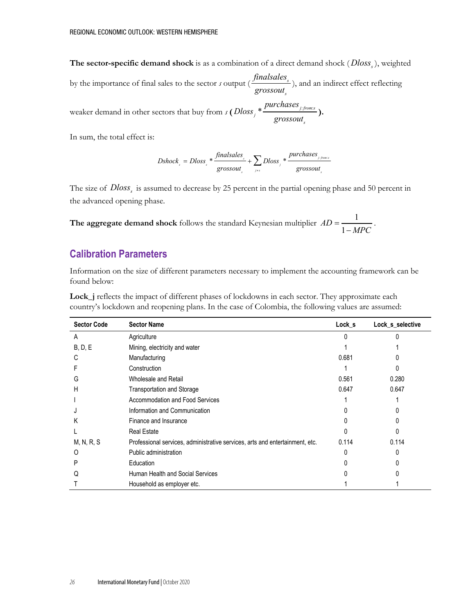**The sector-specific demand shock** is as a combination of a direct demand shock (*Dloss*<sub>s</sub>), weighted

by the importance of final sales to the sector  $s$  output  $\left(\frac{j_{\text{max}}}{s}\right)$ *s finalsales grossout* ), and an indirect effect reflecting

weaker demand in other sectors that buy from  $s \left( D \text{loss}_j \right)$   $\frac{P}{P}$ *s purchases Dloss grossout* **).**

In sum, the total effect is:

$$
Dshock_{s} = Dloss_{s} * \frac{finalsales_{s}}{grossout_{s}} + \sum_{j=s} Dloss_{j} * \frac{purchases_{j;fours}}{grossout_{s}}
$$

The size of *Dloss<sub>s</sub>* is assumed to decrease by 25 percent in the partial opening phase and 50 percent in the advanced opening phase.

**The aggregate demand shock** follows the standard Keynesian multiplier  $AD = \frac{1}{1+1}$ 1  $AD = \frac{1}{1 - MPC}$ .

## **Calibration Parameters**

Information on the size of different parameters necessary to implement the accounting framework can be found below:

| <b>Sector Code</b> | <b>Sector Name</b>                                                           | Lock s | Lock_s_selective |
|--------------------|------------------------------------------------------------------------------|--------|------------------|
| A                  | Agriculture                                                                  |        |                  |
| B, D, E            | Mining, electricity and water                                                |        |                  |
| С                  | Manufacturing                                                                | 0.681  |                  |
|                    | Construction                                                                 |        |                  |
| G                  | Wholesale and Retail                                                         | 0.561  | 0.280            |
| н                  | Transportation and Storage                                                   | 0.647  | 0.647            |
|                    | <b>Accommodation and Food Services</b>                                       |        |                  |
|                    | Information and Communication                                                |        |                  |
| κ                  | Finance and Insurance                                                        |        |                  |
|                    | <b>Real Estate</b>                                                           |        |                  |
| M, N, R, S         | Professional services, administrative services, arts and entertainment, etc. | 0.114  | 0.114            |
| O                  | Public administration                                                        |        |                  |
| P                  | Education                                                                    |        |                  |
|                    | Human Health and Social Services                                             |        |                  |
|                    | Household as employer etc.                                                   |        |                  |

**Lock\_j** reflects the impact of different phases of lockdowns in each sector. They approximate each country's lockdown and reopening plans. In the case of Colombia, the following values are assumed: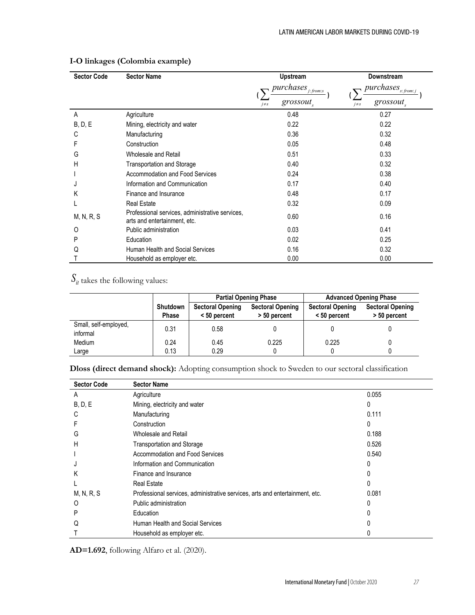| <b>Sector Code</b> | <b>Sector Name</b>                                                              | Upstream                               | <b>Downstream</b>                              |
|--------------------|---------------------------------------------------------------------------------|----------------------------------------|------------------------------------------------|
|                    |                                                                                 | $\emph{purchases}_{j: \emph{from:} s}$ | $\emph{purchases}_{s: \emph{from}:j}$          |
|                    |                                                                                 | grossout,<br>$j \neq s$                | $\mathit{grossout}_{\mathit{S}}$<br>$j \neq s$ |
| A                  | Agriculture                                                                     | 0.48                                   | 0.27                                           |
| B, D, E            | Mining, electricity and water                                                   | 0.22                                   | 0.22                                           |
| C                  | Manufacturing                                                                   | 0.36                                   | 0.32                                           |
| F                  | Construction                                                                    | 0.05                                   | 0.48                                           |
| G                  | Wholesale and Retail                                                            | 0.51                                   | 0.33                                           |
| Н                  | <b>Transportation and Storage</b>                                               | 0.40                                   | 0.32                                           |
|                    | <b>Accommodation and Food Services</b>                                          | 0.24                                   | 0.38                                           |
|                    | Information and Communication                                                   | 0.17                                   | 0.40                                           |
| Κ                  | Finance and Insurance                                                           | 0.48                                   | 0.17                                           |
|                    | <b>Real Estate</b>                                                              | 0.32                                   | 0.09                                           |
| M, N, R, S         | Professional services, administrative services,<br>arts and entertainment, etc. | 0.60                                   | 0.16                                           |
| 0                  | Public administration                                                           | 0.03                                   | 0.41                                           |
| P                  | Education                                                                       | 0.02                                   | 0.25                                           |
| Q                  | Human Health and Social Services                                                | 0.16                                   | 0.32                                           |
|                    | Household as employer etc.                                                      | 0.00                                   | 0.00                                           |

## **I-O linkages (Colombia example)**

 $S_{it}$  takes the following values:

|                                   |                   |                                           | <b>Partial Opening Phase</b>            | <b>Advanced Opening Phase</b>             |                                         |  |
|-----------------------------------|-------------------|-------------------------------------------|-----------------------------------------|-------------------------------------------|-----------------------------------------|--|
|                                   | Shutdown<br>Phase | <b>Sectoral Opening</b><br>$< 50$ percent | <b>Sectoral Opening</b><br>> 50 percent | <b>Sectoral Opening</b><br>$< 50$ percent | <b>Sectoral Opening</b><br>> 50 percent |  |
| Small, self-employed,<br>informal | 0.31              | 0.58                                      |                                         |                                           |                                         |  |
| Medium                            | 0.24              | 0.45                                      | 0.225                                   | 0.225                                     |                                         |  |
| Large                             | 0.13              | 0.29                                      |                                         |                                           |                                         |  |

**Dloss (direct demand shock):** Adopting consumption shock to Sweden to our sectoral classification

| <b>Sector Code</b> | <b>Sector Name</b>                                                           |       |  |
|--------------------|------------------------------------------------------------------------------|-------|--|
| A                  | Agriculture                                                                  | 0.055 |  |
| B, D, E            | Mining, electricity and water                                                | 0     |  |
| С                  | Manufacturing                                                                | 0.111 |  |
|                    | Construction                                                                 | 0     |  |
| G                  | Wholesale and Retail                                                         | 0.188 |  |
| H                  | <b>Transportation and Storage</b>                                            | 0.526 |  |
|                    | Accommodation and Food Services                                              | 0.540 |  |
|                    | Information and Communication                                                | 0     |  |
| Κ                  | Finance and Insurance                                                        | 0     |  |
|                    | <b>Real Estate</b>                                                           | 0     |  |
| M, N, R, S         | Professional services, administrative services, arts and entertainment, etc. | 0.081 |  |
| O                  | Public administration                                                        | 0     |  |
| P                  | Education                                                                    |       |  |
| Q                  | Human Health and Social Services                                             |       |  |
|                    | Household as employer etc.                                                   |       |  |

**AD=1.692**, following Alfaro et al. (2020).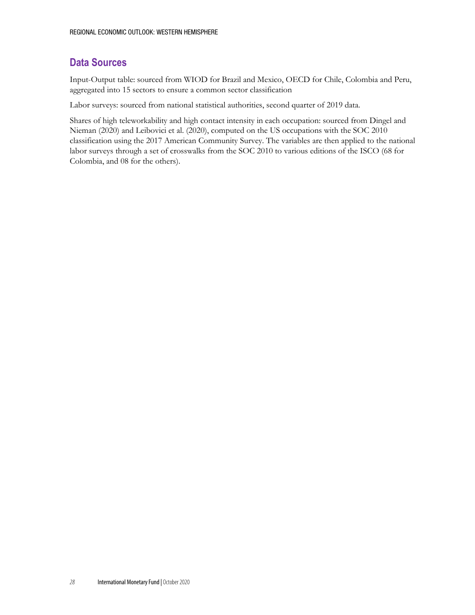## **Data Sources**

Input-Output table: sourced from WIOD for Brazil and Mexico, OECD for Chile, Colombia and Peru, aggregated into 15 sectors to ensure a common sector classification

Labor surveys: sourced from national statistical authorities, second quarter of 2019 data.

Shares of high teleworkability and high contact intensity in each occupation: sourced from Dingel and Nieman (2020) and Leibovici et al. (2020), computed on the US occupations with the SOC 2010 classification using the 2017 American Community Survey. The variables are then applied to the national labor surveys through a set of crosswalks from the SOC 2010 to various editions of the ISCO (68 for Colombia, and 08 for the others).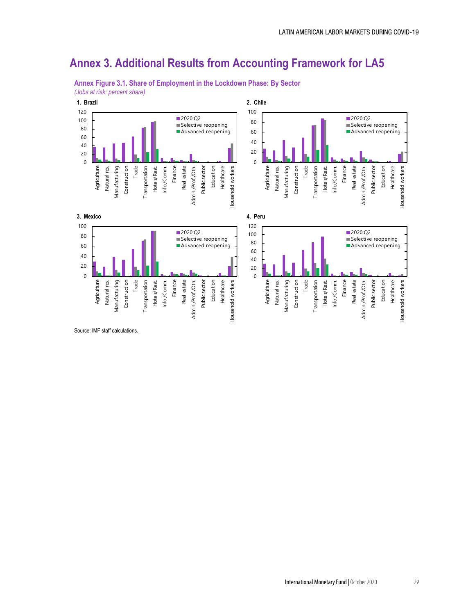# **Annex 3. Additional Results from Accounting Framework for LA5**



**Annex Figure 3.1. Share of Employment in the Lockdown Phase: By Sector** *(Jobs at risk; percent share)*

Source: IMF staff calculations.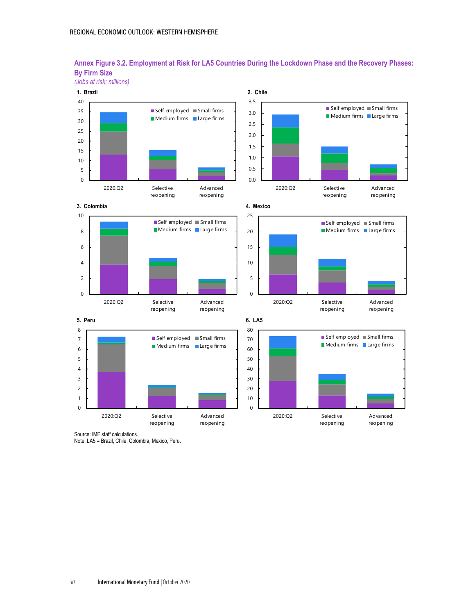

### **Annex Figure 3.2. Employment at Risk for LA5 Countries During the Lockdown Phase and the Recovery Phases: By Firm Size** *(Jobs at risk; millions)*

Source: IMF staff calculations.

Note: LA5 = Brazil, Chile, Colombia, Mexico, Peru.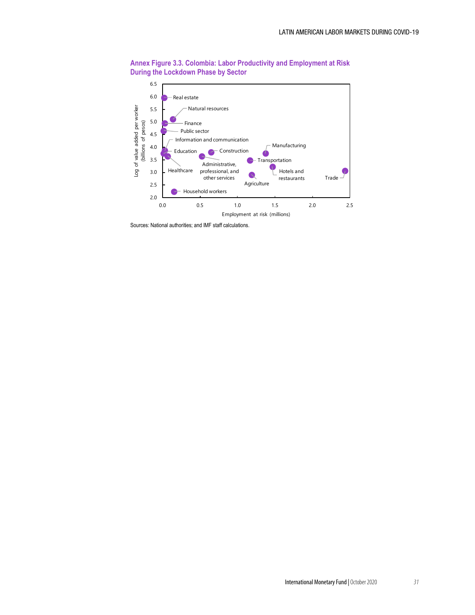

**Annex Figure 3.3. Colombia: Labor Productivity and Employment at Risk During the Lockdown Phase by Sector**

Sources: National authorities; and IMF staff calculations.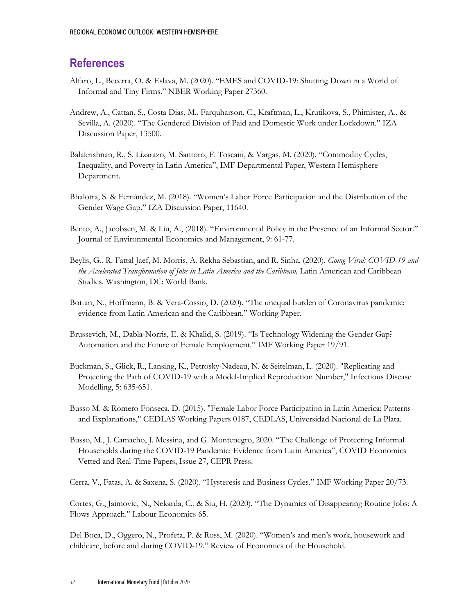# **References**

- Alfaro, L., Becerra, O. & Eslava, M. (2020). "EMES and COVID-19: Shutting Down in a World of Informal and Tiny Firms." NBER Working Paper 27360.
- Andrew, A., Cattan, S., Costa Dias, M., Farquharson, C., Kraftman, L., Krutikova, S., Phimister, A., & Sevilla, A. (2020). "The Gendered Division of Paid and Domestic Work under Lockdown." IZA Discussion Paper, 13500.
- Balakrishnan, R., S. Lizarazo, M. Santoro, F. Toscani, & Vargas, M. (2020). "Commodity Cycles, Inequality, and Poverty in Latin America", IMF Departmental Paper, Western Hemisphere Department.
- Bhalotra, S. & Fernández, M. (2018). "Women's Labor Force Participation and the Distribution of the Gender Wage Gap." IZA Discussion Paper, 11640.
- Bento, A., Jacobsen, M. & Liu, A., (2018). "Environmental Policy in the Presence of an Informal Sector." Journal of Environmental Economics and Management, 9: 61-77.
- Beylis, G., R. Fattal Jaef, M. Morris, A. Rekha Sebastian, and R. Sinha. (2020). *Going Viral: COVID-19 and the Accelerated Transformation of Jobs in Latin America and the Caribbean,* Latin American and Caribbean Studies. Washington, DC: World Bank.
- Bottan, N., Hoffmann, B. & Vera-Cossio, D. (2020). "The unequal burden of Coronavirus pandemic: evidence from Latin American and the Caribbean." Working Paper.
- Brussevich, M., Dabla-Norris, E. & Khalid, S. (2019). "Is Technology Widening the Gender Gap? Automation and the Future of Female Employment." IMF Working Paper 19/91.
- Buckman, S., Glick, R., Lansing, K., Petrosky-Nadeau, N. & Seitelman, L. (2020). "Replicating and Projecting the Path of COVID-19 with a Model-Implied Reproduction Number," Infectious Disease Modelling, 5: 635-651.
- Busso M. & Romero Fonseca, D. (2015). "Female Labor Force Participation in Latin America: Patterns and Explanations," CEDLAS Working Papers 0187, CEDLAS, Universidad Nacional de La Plata.
- Busso, M., J. Camacho, J. Messina, and G. Montenegro, 2020. "The Challenge of Protecting Informal Households during the COVID-19 Pandemic: Evidence from Latin America", COVID Economics Vetted and Real-Time Papers, Issue 27, CEPR Press.

Cerra, V., Fatas, A. & Saxena, S. (2020). "Hysteresis and Business Cycles." IMF Working Paper 20/73.

Cortes, G., Jaimovic, N., Nekarda, C., & Siu, H. (2020). "The Dynamics of Disappearing Routine Jobs: A Flows Approach." Labour Economics 65.

Del Boca, D., Oggero, N., Profeta, P. & Ross, M. (2020). "Women's and men's work, housework and childcare, before and during COVID-19." Review of Economics of the Household.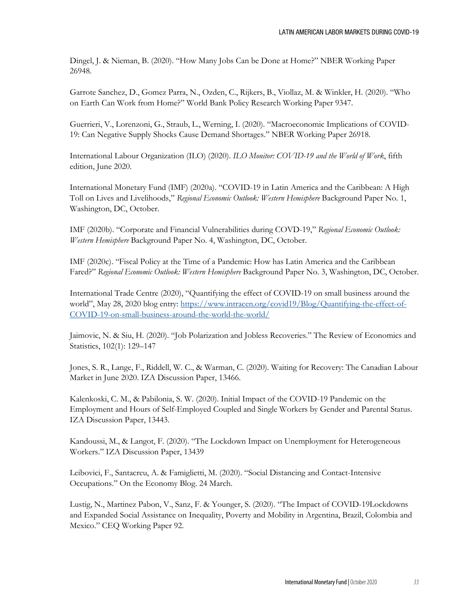Dingel, J. & Nieman, B. (2020). "How Many Jobs Can be Done at Home?" NBER Working Paper 26948.

Garrote Sanchez, D., Gomez Parra, N., Ozden, C., Rijkers, B., Viollaz, M. & Winkler, H. (2020). "Who on Earth Can Work from Home?" World Bank Policy Research Working Paper 9347.

Guerrieri, V., Lorenzoni, G., Straub, L., Werning, I. (2020). "Macroeconomic Implications of COVID-19: Can Negative Supply Shocks Cause Demand Shortages." NBER Working Paper 26918.

International Labour Organization (ILO) (2020). *ILO Monitor: COVID-19 and the World of Work*, fifth edition, June 2020.

International Monetary Fund (IMF) (2020a). "COVID-19 in Latin America and the Caribbean: A High Toll on Lives and Livelihoods," *Regional Economic Outlook: Western Hemisphere* Background Paper No. 1, Washington, DC, October.

IMF (2020b). "Corporate and Financial Vulnerabilities during COVD-19," *Regional Economic Outlook: Western Hemisphere* Background Paper No. 4, Washington, DC, October.

IMF (2020c). "Fiscal Policy at the Time of a Pandemic: How has Latin America and the Caribbean Fared?" *Regional Economic Outlook: Western Hemisphere* Background Paper No. 3, Washington, DC, October.

International Trade Centre (2020), "Quantifying the effect of COVID-19 on small business around the world", May 28, 2020 blog entry: [https://www.intracen.org/covid19/Blog/Quantifying-the-effect-of-](https://www.intracen.org/covid19/Blog/Quantifying-the-effect-of-COVID-19-on-small-business-around-the-world-the-world/)[COVID-19-on-small-business-around-the-world-the-world/](https://www.intracen.org/covid19/Blog/Quantifying-the-effect-of-COVID-19-on-small-business-around-the-world-the-world/)

Jaimovic, N. & Siu, H. (2020). "Job Polarization and Jobless Recoveries." The Review of Economics and Statistics, 102(1): 129–147

Jones, S. R., Lange, F., Riddell, W. C., & Warman, C. (2020). Waiting for Recovery: The Canadian Labour Market in June 2020. IZA Discussion Paper, 13466.

Kalenkoski, C. M., & Pabilonia, S. W. (2020). Initial Impact of the COVID-19 Pandemic on the Employment and Hours of Self-Employed Coupled and Single Workers by Gender and Parental Status. IZA Discussion Paper, 13443.

Kandoussi, M., & Langot, F. (2020). "The Lockdown Impact on Unemployment for Heterogeneous Workers." IZA Discussion Paper, 13439

Leibovici, F., Santacreu, A. & Famiglietti, M. (2020). "Social Distancing and Contact-Intensive Occupations." On the Economy Blog. 24 March.

Lustig, N., Martinez Pabon, V., Sanz, F. & Younger, S. (2020). "The Impact of COVID-19Lockdowns and Expanded Social Assistance on Inequality, Poverty and Mobility in Argentina, Brazil, Colombia and Mexico." CEQ Working Paper 92.